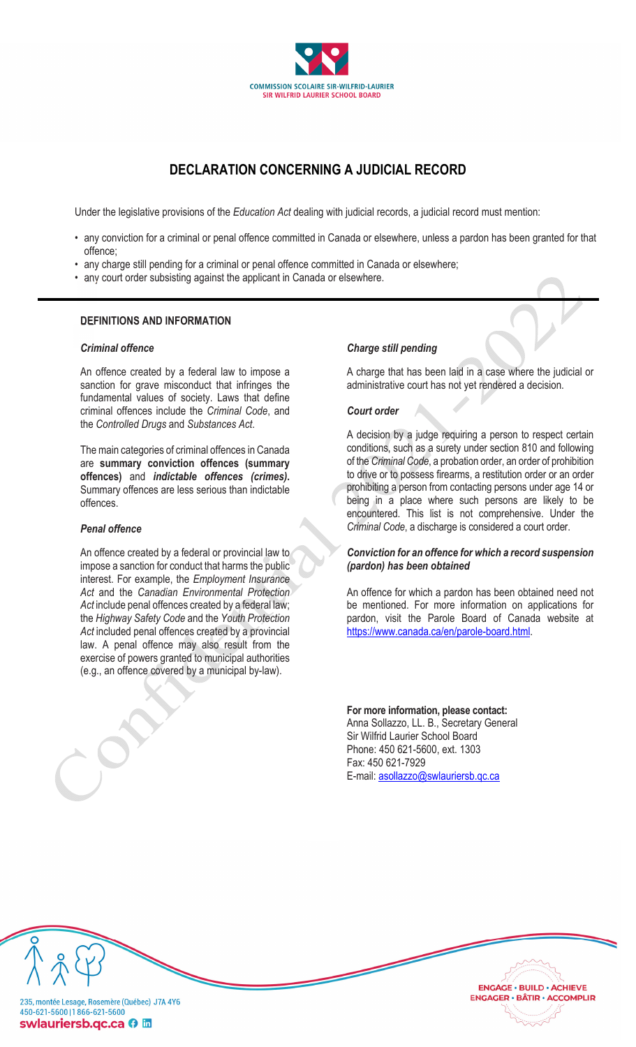

# **DECLARATION CONCERNING A JUDICIAL RECORD**

Under the legislative provisions of the *Education Act* dealing with judicial records, a judicial record must mention:

- any conviction for a criminal or penal offence committed in Canada or elsewhere, unless a pardon has been granted for that offence;
- any charge still pending for a criminal or penal offence committed in Canada or elsewhere;
- any court order subsisting against the applicant in Canada or elsewhere.

# **DEFINITIONS AND INFORMATION**

#### *Criminal offence*

An offence created by a federal law to impose a sanction for grave misconduct that infringes the fundamental values of society. Laws that define criminal offences include the *Criminal Code*, and the *Controlled Drugs* and *Substances Act*.

The main categories of criminal offences in Canada are **summary conviction offences (summary offences)** and *indictable offences (crimes)***.** Summary offences are less serious than indictable offences.

#### *Penal offence*

An offence created by a federal or provincial law to impose a sanction for conduct that harms the public interest. For example, the *Employment Insurance Act* and the *Canadian Environmental Protection Act* include penal offences created by a federal law; the *Highway Safety Code* and the *Youth Protection Act* included penal offences created by a provincial law. A penal offence may also result from the exercise of powers granted to municipal authorities (e.g., an offence covered by a municipal by-law).

#### *Charge still pending*

A charge that has been laid in a case where the judicial or administrative court has not yet rendered a decision.

# *Court order*

A decision by a judge requiring a person to respect certain conditions, such as a surety under section 810 and following of the *Criminal Code*, a probation order, an order of prohibition to drive or to possess firearms, a restitution order or an order prohibiting a person from contacting persons under age 14 or being in a place where such persons are likely to be encountered. This list is not comprehensive. Under the *Criminal Code*, a discharge is considered a court order.

# *Conviction for an offence for which a record suspension (pardon) has been obtained*

An offence for which a pardon has been obtained need not be mentioned. For more information on applications for pardon, visit the Parole Board of Canada website at https://www.canada.ca/en/parole-board.html.

> **ENGAGE · BUILD · ACHIEVE ENGAGER · BÂTIR · ACCOMPLIR**

**For more information, please contact:**  Anna Sollazzo, LL. B., Secretary General Sir Wilfrid Laurier School Board Phone: 450 621-5600, ext. 1303 Fax: 450 621-7929 E-mail: asollazzo@swlauriersb.qc.ca